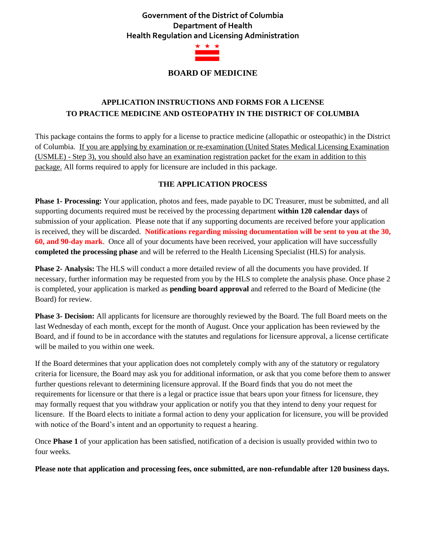# **Government of the District of Columbia Department of Health Health Regulation and Licensing Administration**



## **BOARD OF MEDICINE**

# **APPLICATION INSTRUCTIONS AND FORMS FOR A LICENSE TO PRACTICE MEDICINE AND OSTEOPATHY IN THE DISTRICT OF COLUMBIA**

This package contains the forms to apply for a license to practice medicine (allopathic or osteopathic) in the District of Columbia. If you are applying by examination or re-examination (United States Medical Licensing Examination (USMLE) - Step 3), you should also have an examination registration packet for the exam in addition to this package. All forms required to apply for licensure are included in this package.

### **THE APPLICATION PROCESS**

**Phase 1- Processing:** Your application, photos and fees, made payable to DC Treasurer, must be submitted, and all supporting documents required must be received by the processing department **within 120 calendar days** of submission of your application. Please note that if any supporting documents are received before your application is received, they will be discarded. **Notifications regarding missing documentation will be sent to you at the 30, 60, and 90-day mark**. Once all of your documents have been received, your application will have successfully **completed the processing phase** and will be referred to the Health Licensing Specialist (HLS) for analysis.

**Phase 2- Analysis:** The HLS will conduct a more detailed review of all the documents you have provided. If necessary, further information may be requested from you by the HLS to complete the analysis phase. Once phase 2 is completed, your application is marked as **pending board approval** and referred to the Board of Medicine (the Board) for review.

**Phase 3- Decision:** All applicants for licensure are thoroughly reviewed by the Board. The full Board meets on the last Wednesday of each month, except for the month of August. Once your application has been reviewed by the Board, and if found to be in accordance with the statutes and regulations for licensure approval, a license certificate will be mailed to you within one week.

If the Board determines that your application does not completely comply with any of the statutory or regulatory criteria for licensure, the Board may ask you for additional information, or ask that you come before them to answer further questions relevant to determining licensure approval. If the Board finds that you do not meet the requirements for licensure or that there is a legal or practice issue that bears upon your fitness for licensure, they may formally request that you withdraw your application or notify you that they intend to deny your request for licensure. If the Board elects to initiate a formal action to deny your application for licensure, you will be provided with notice of the Board's intent and an opportunity to request a hearing.

Once **Phase 1** of your application has been satisfied, notification of a decision is usually provided within two to four weeks.

**Please note that application and processing fees, once submitted, are non-refundable after 120 business days.**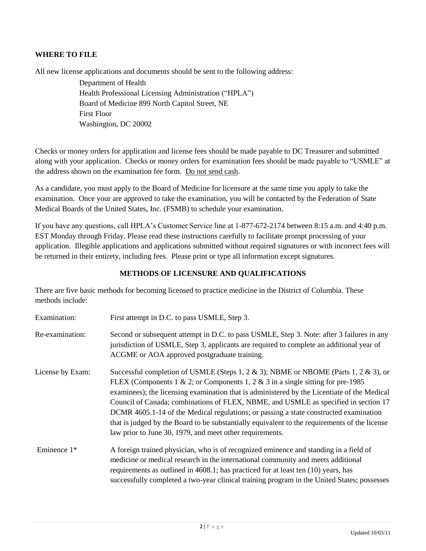#### **WHERE TO FILE**

All new license applications and documents should be sent to the following address:

 Department of Health Health Professional Licensing Administration ("HPLA") Board of Medicine 899 North Capitol Street, NE First Floor Washington, DC 20002

Checks or money orders for application and license fees should be made payable to DC Treasurer and submitted along with your application. Checks or money orders for examination fees should be made payable to "USMLE" at the address shown on the examination fee form. Do not send cash.

As a candidate, you must apply to the Board of Medicine for licensure at the same time you apply to take the examination. Once your are approved to take the examination, you will be contacted by the Federation of State Medical Boards of the United States, Inc. (FSMB) to schedule your examination.

If you have any questions, call HPLA's Customer Service line at 1-877-672-2174 between 8:15 a.m. and 4:40 p.m. EST Monday through Friday. Please read these instructions carefully to facilitate prompt processing of your application. Illegible applications and applications submitted without required signatures or with incorrect fees will be returned in their entirety, including fees. Please print or type all information except signatures.

## **METHODS OF LICENSURE AND QUALIFICATIONS**

There are five basic methods for becoming licensed to practice medicine in the District of Columbia. These methods include:

| Examination:     | First attempt in D.C. to pass USMLE, Step 3.                                                                                                                                                                                                                                                                                                                                                                                                                                                                                                                                                                       |  |  |  |  |
|------------------|--------------------------------------------------------------------------------------------------------------------------------------------------------------------------------------------------------------------------------------------------------------------------------------------------------------------------------------------------------------------------------------------------------------------------------------------------------------------------------------------------------------------------------------------------------------------------------------------------------------------|--|--|--|--|
| Re-examination:  | Second or subsequent attempt in D.C. to pass USMLE, Step 3. Note: after 3 failures in any<br>jurisdiction of USMLE, Step 3, applicants are required to complete an additional year of<br>ACGME or AOA approved postgraduate training.                                                                                                                                                                                                                                                                                                                                                                              |  |  |  |  |
| License by Exam: | Successful completion of USMLE (Steps 1, 2 & 3); NBME or NBOME (Parts 1, 2 & 3), or<br>FLEX (Components 1 & 2; or Components 1, 2 & 3 in a single sitting for pre-1985<br>examinees); the licensing examination that is administered by the Licentiate of the Medical<br>Council of Canada; combinations of FLEX, NBME, and USMLE as specified in section 17<br>DCMR 4605.1-14 of the Medical regulations; or passing a state constructed examination<br>that is judged by the Board to be substantially equivalent to the requirements of the license<br>law prior to June 30, 1979, and meet other requirements. |  |  |  |  |
| Eminence 1*      | A foreign trained physician, who is of recognized eminence and standing in a field of<br>medicine or medical research in the international community and meets additional<br>requirements as outlined in 4608.1; has practiced for at least ten (10) years, has<br>successfully completed a two-year clinical training program in the United States; possesses                                                                                                                                                                                                                                                     |  |  |  |  |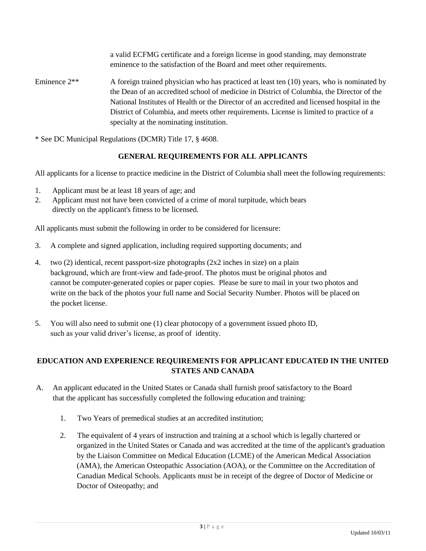a valid ECFMG certificate and a foreign license in good standing, may demonstrate eminence to the satisfaction of the Board and meet other requirements.

Eminence  $2^{**}$  A foreign trained physician who has practiced at least ten (10) years, who is nominated by the Dean of an accredited school of medicine in District of Columbia, the Director of the National Institutes of Health or the Director of an accredited and licensed hospital in the District of Columbia, and meets other requirements. License is limited to practice of a specialty at the nominating institution.

\* See DC Municipal Regulations (DCMR) Title 17, § 4608.

# **GENERAL REQUIREMENTS FOR ALL APPLICANTS**

All applicants for a license to practice medicine in the District of Columbia shall meet the following requirements:

- 1. Applicant must be at least 18 years of age; and
- 2. Applicant must not have been convicted of a crime of moral turpitude, which bears directly on the applicant's fitness to be licensed.

All applicants must submit the following in order to be considered for licensure:

- 3. A complete and signed application, including required supporting documents; and
- 4. two (2) identical, recent passport-size photographs (2x2 inches in size) on a plain background, which are front-view and fade-proof. The photos must be original photos and cannot be computer-generated copies or paper copies. Please be sure to mail in your two photos and write on the back of the photos your full name and Social Security Number. Photos will be placed on the pocket license.
- 5. You will also need to submit one (1) clear photocopy of a government issued photo ID, such as your valid driver's license, as proof of identity.

# **EDUCATION AND EXPERIENCE REQUIREMENTS FOR APPLICANT EDUCATED IN THE UNITED STATES AND CANADA**

- A. An applicant educated in the United States or Canada shall furnish proof satisfactory to the Board that the applicant has successfully completed the following education and training:
	- 1. Two Years of premedical studies at an accredited institution;
	- 2. The equivalent of 4 years of instruction and training at a school which is legally chartered or organized in the United States or Canada and was accredited at the time of the applicant's graduation by the Liaison Committee on Medical Education (LCME) of the American Medical Association (AMA), the American Osteopathic Association (AOA), or the Committee on the Accreditation of Canadian Medical Schools. Applicants must be in receipt of the degree of Doctor of Medicine or Doctor of Osteopathy; and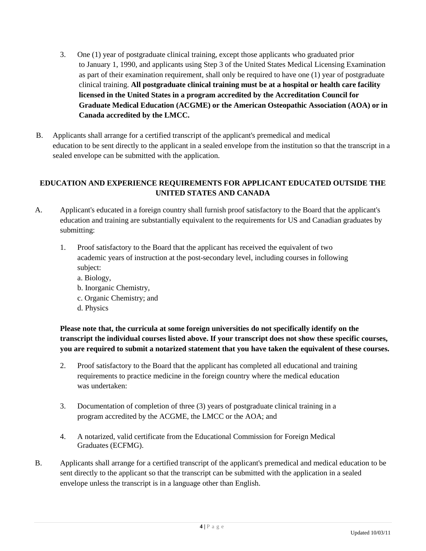- 3. One (1) year of postgraduate clinical training, except those applicants who graduated prior to January 1, 1990, and applicants using Step 3 of the United States Medical Licensing Examination as part of their examination requirement, shall only be required to have one (1) year of postgraduate clinical training. **All postgraduate clinical training must be at a hospital or health care facility licensed in the United States in a program accredited by the Accreditation Council for Graduate Medical Education (ACGME) or the American Osteopathic Association (AOA) or in Canada accredited by the LMCC.**
- B. Applicants shall arrange for a certified transcript of the applicant's premedical and medical education to be sent directly to the applicant in a sealed envelope from the institution so that the transcript in a sealed envelope can be submitted with the application.

## **EDUCATION AND EXPERIENCE REQUIREMENTS FOR APPLICANT EDUCATED OUTSIDE THE UNITED STATES AND CANADA**

- A. Applicant's educated in a foreign country shall furnish proof satisfactory to the Board that the applicant's education and training are substantially equivalent to the requirements for US and Canadian graduates by submitting:
	- 1. Proof satisfactory to the Board that the applicant has received the equivalent of two academic years of instruction at the post-secondary level, including courses in following subject:
		- a. Biology,
		- b. Inorganic Chemistry,
		- c. Organic Chemistry; and
		- d. Physics

**Please note that, the curricula at some foreign universities do not specifically identify on the transcript the individual courses listed above. If your transcript does not show these specific courses, you are required to submit a notarized statement that you have taken the equivalent of these courses.** 

- 2. Proof satisfactory to the Board that the applicant has completed all educational and training requirements to practice medicine in the foreign country where the medical education was undertaken:
- 3. Documentation of completion of three (3) years of postgraduate clinical training in a program accredited by the ACGME, the LMCC or the AOA; and
- 4. A notarized, valid certificate from the Educational Commission for Foreign Medical Graduates (ECFMG).
- B. Applicants shall arrange for a certified transcript of the applicant's premedical and medical education to be sent directly to the applicant so that the transcript can be submitted with the application in a sealed envelope unless the transcript is in a language other than English.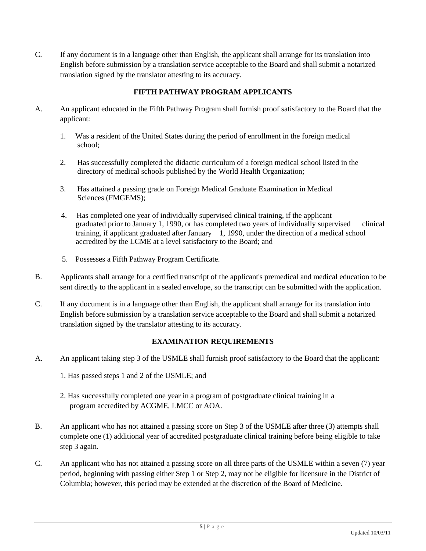C. If any document is in a language other than English, the applicant shall arrange for its translation into English before submission by a translation service acceptable to the Board and shall submit a notarized translation signed by the translator attesting to its accuracy.

## **FIFTH PATHWAY PROGRAM APPLICANTS**

- A. An applicant educated in the Fifth Pathway Program shall furnish proof satisfactory to the Board that the applicant:
	- 1. Was a resident of the United States during the period of enrollment in the foreign medical school;
	- 2. Has successfully completed the didactic curriculum of a foreign medical school listed in the directory of medical schools published by the World Health Organization;
	- 3. Has attained a passing grade on Foreign Medical Graduate Examination in Medical Sciences (FMGEMS);
	- 4. Has completed one year of individually supervised clinical training, if the applicant graduated prior to January 1, 1990, or has completed two years of individually supervised clinical training, if applicant graduated after January 1, 1990, under the direction of a medical school accredited by the LCME at a level satisfactory to the Board; and
	- 5. Possesses a Fifth Pathway Program Certificate.
- B. Applicants shall arrange for a certified transcript of the applicant's premedical and medical education to be sent directly to the applicant in a sealed envelope, so the transcript can be submitted with the application.
- C. If any document is in a language other than English, the applicant shall arrange for its translation into English before submission by a translation service acceptable to the Board and shall submit a notarized translation signed by the translator attesting to its accuracy.

## **EXAMINATION REQUIREMENTS**

- A. An applicant taking step 3 of the USMLE shall furnish proof satisfactory to the Board that the applicant:
	- 1. Has passed steps 1 and 2 of the USMLE; and
	- 2. Has successfully completed one year in a program of postgraduate clinical training in a program accredited by ACGME, LMCC or AOA.
- B. An applicant who has not attained a passing score on Step 3 of the USMLE after three (3) attempts shall complete one (1) additional year of accredited postgraduate clinical training before being eligible to take step 3 again.
- C. An applicant who has not attained a passing score on all three parts of the USMLE within a seven (7) year period, beginning with passing either Step 1 or Step 2, may not be eligible for licensure in the District of Columbia; however, this period may be extended at the discretion of the Board of Medicine.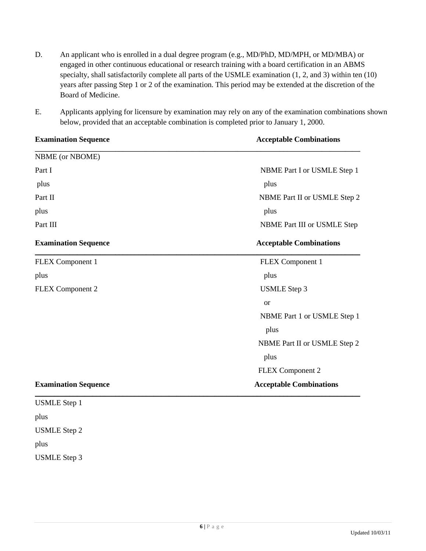- D. An applicant who is enrolled in a dual degree program (e.g., MD/PhD, MD/MPH, or MD/MBA) or engaged in other continuous educational or research training with a board certification in an ABMS specialty, shall satisfactorily complete all parts of the USMLE examination (1, 2, and 3) within ten (10) years after passing Step 1 or 2 of the examination. This period may be extended at the discretion of the Board of Medicine.
- E. Applicants applying for licensure by examination may rely on any of the examination combinations shown below, provided that an acceptable combination is completed prior to January 1, 2000.

| <b>Examination Sequence</b> | <b>Acceptable Combinations</b> |  |  |
|-----------------------------|--------------------------------|--|--|
| <b>NBME</b> (or NBOME)      |                                |  |  |
| Part I                      | NBME Part I or USMLE Step 1    |  |  |
| plus                        | plus                           |  |  |
| Part II                     | NBME Part II or USMLE Step 2   |  |  |
| plus                        | plus                           |  |  |
| Part III                    | NBME Part III or USMLE Step    |  |  |
| <b>Examination Sequence</b> | <b>Acceptable Combinations</b> |  |  |
| <b>FLEX</b> Component 1     | <b>FLEX Component 1</b>        |  |  |
| plus                        | plus                           |  |  |
| <b>FLEX Component 2</b>     | <b>USMLE</b> Step 3            |  |  |
|                             | <sub>or</sub>                  |  |  |
|                             | NBME Part 1 or USMLE Step 1    |  |  |
|                             | plus                           |  |  |
|                             | NBME Part II or USMLE Step 2   |  |  |
|                             | plus                           |  |  |
|                             | FLEX Component 2               |  |  |
| <b>Examination Sequence</b> | <b>Acceptable Combinations</b> |  |  |
| <b>USMLE</b> Step 1         |                                |  |  |
| plus                        |                                |  |  |

USMLE Step 2

plus

USMLE Step 3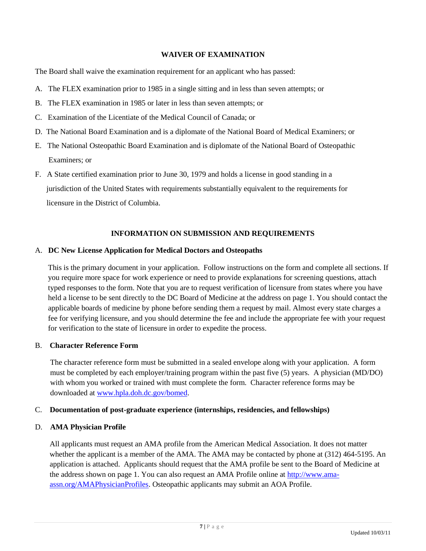#### **WAIVER OF EXAMINATION**

The Board shall waive the examination requirement for an applicant who has passed:

- A. The FLEX examination prior to 1985 in a single sitting and in less than seven attempts; or
- B. The FLEX examination in 1985 or later in less than seven attempts; or
- C. Examination of the Licentiate of the Medical Council of Canada; or
- D. The National Board Examination and is a diplomate of the National Board of Medical Examiners; or
- E. The National Osteopathic Board Examination and is diplomate of the National Board of Osteopathic Examiners; or
- F. A State certified examination prior to June 30, 1979 and holds a license in good standing in a jurisdiction of the United States with requirements substantially equivalent to the requirements for licensure in the District of Columbia.

## **INFORMATION ON SUBMISSION AND REQUIREMENTS**

#### A. **DC New License Application for Medical Doctors and Osteopaths**

This is the primary document in your application. Follow instructions on the form and complete all sections. If you require more space for work experience or need to provide explanations for screening questions, attach typed responses to the form. Note that you are to request verification of licensure from states where you have held a license to be sent directly to the DC Board of Medicine at the address on page 1. You should contact the applicable boards of medicine by phone before sending them a request by mail. Almost every state charges a fee for verifying licensure, and you should determine the fee and include the appropriate fee with your request for verification to the state of licensure in order to expedite the process.

#### B. **Character Reference Form**

The character reference form must be submitted in a sealed envelope along with your application. A form must be completed by each employer/training program within the past five (5) years. A physician (MD/DO) with whom you worked or trained with must complete the form. Character reference forms may be downloaded at [www.hpla.doh.dc.gov/bomed.](http://www.hpla.doh.dc.gov/bomed)

## C. **Documentation of post-graduate experience (internships, residencies, and fellowships)**

## D. **AMA Physician Profile**

All applicants must request an AMA profile from the American Medical Association. It does not matter whether the applicant is a member of the AMA. The AMA may be contacted by phone at (312) 464-5195. An application is attached. Applicants should request that the AMA profile be sent to the Board of Medicine at the address shown on page 1. You can also request an AMA Profile online at [http://www.ama](http://www.ama-assn.org/AMAPhysicianProfiles)[assn.org/AMAPhysicianProfiles.](http://www.ama-assn.org/AMAPhysicianProfiles) Osteopathic applicants may submit an AOA Profile.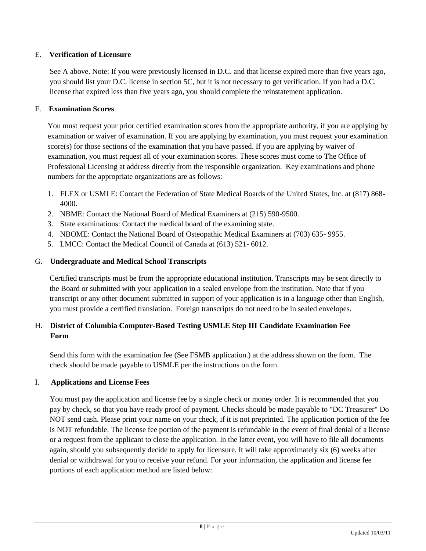## E. **Verification of Licensure**

See A above. Note: If you were previously licensed in D.C. and that license expired more than five years ago, you should list your D.C. license in section 5C, but it is not necessary to get verification. If you had a D.C. license that expired less than five years ago, you should complete the reinstatement application.

## F. **Examination Scores**

You must request your prior certified examination scores from the appropriate authority, if you are applying by examination or waiver of examination. If you are applying by examination, you must request your examination score(s) for those sections of the examination that you have passed. If you are applying by waiver of examination, you must request all of your examination scores. These scores must come to The Office of Professional Licensing at address directly from the responsible organization. Key examinations and phone numbers for the appropriate organizations are as follows:

- 1. FLEX or USMLE: Contact the Federation of State Medical Boards of the United States, Inc. at (817) 868- 4000.
- 2. NBME: Contact the National Board of Medical Examiners at (215) 590-9500.
- 3. State examinations: Contact the medical board of the examining state.
- 4. NBOME: Contact the National Board of Osteopathic Medical Examiners at (703) 635- 9955.
- 5. LMCC: Contact the Medical Council of Canada at (613) 521- 6012.

## G. **Undergraduate and Medical School Transcripts**

Certified transcripts must be from the appropriate educational institution. Transcripts may be sent directly to the Board or submitted with your application in a sealed envelope from the institution. Note that if you transcript or any other document submitted in support of your application is in a language other than English, you must provide a certified translation. Foreign transcripts do not need to be in sealed envelopes.

# H. **District of Columbia Computer-Based Testing USMLE Step III Candidate Examination Fee Form**

Send this form with the examination fee (See FSMB application.) at the address shown on the form. The check should be made payable to USMLE per the instructions on the form.

## I. **Applications and License Fees**

You must pay the application and license fee by a single check or money order. It is recommended that you pay by check, so that you have ready proof of payment. Checks should be made payable to "DC Treasurer" Do NOT send cash. Please print your name on your check, if it is not preprinted. The application portion of the fee is NOT refundable. The license fee portion of the payment is refundable in the event of final denial of a license or a request from the applicant to close the application. In the latter event, you will have to file all documents again, should you subsequently decide to apply for licensure. It will take approximately six (6) weeks after denial or withdrawal for you to receive your refund. For your information, the application and license fee portions of each application method are listed below: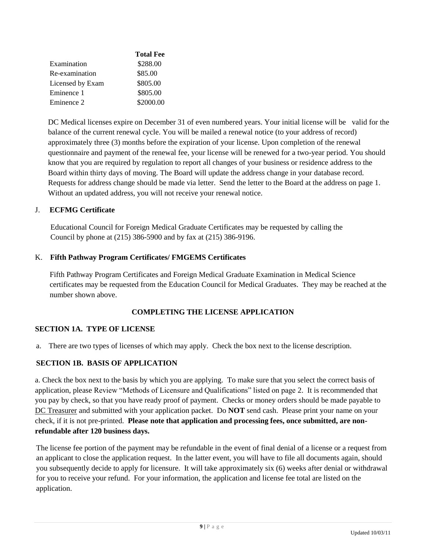|                  | <b>Total Fee</b> |
|------------------|------------------|
| Examination      | \$288.00         |
| Re-examination   | \$85.00          |
| Licensed by Exam | \$805.00         |
| Eminence 1       | \$805.00         |
| Eminence 2       | \$2000.00        |

DC Medical licenses expire on December 31 of even numbered years. Your initial license will be valid for the balance of the current renewal cycle. You will be mailed a renewal notice (to your address of record) approximately three (3) months before the expiration of your license. Upon completion of the renewal questionnaire and payment of the renewal fee, your license will be renewed for a two-year period. You should know that you are required by regulation to report all changes of your business or residence address to the Board within thirty days of moving. The Board will update the address change in your database record. Requests for address change should be made via letter. Send the letter to the Board at the address on page 1. Without an updated address, you will not receive your renewal notice.

#### J. **ECFMG Certificate**

 Educational Council for Foreign Medical Graduate Certificates may be requested by calling the Council by phone at (215) 386-5900 and by fax at (215) 386-9196.

#### K. **Fifth Pathway Program Certificates/ FMGEMS Certificates**

Fifth Pathway Program Certificates and Foreign Medical Graduate Examination in Medical Science certificates may be requested from the Education Council for Medical Graduates. They may be reached at the number shown above.

## **COMPLETING THE LICENSE APPLICATION**

## **SECTION 1A. TYPE OF LICENSE**

a. There are two types of licenses of which may apply. Check the box next to the license description.

## **SECTION 1B. BASIS OF APPLICATION**

a. Check the box next to the basis by which you are applying. To make sure that you select the correct basis of application, please Review "Methods of Licensure and Qualifications" listed on page 2. It is recommended that you pay by check, so that you have ready proof of payment. Checks or money orders should be made payable to DC Treasurer and submitted with your application packet. Do **NOT** send cash. Please print your name on your check, if it is not pre-printed. **Please note that application and processing fees, once submitted, are nonrefundable after 120 business days.** 

The license fee portion of the payment may be refundable in the event of final denial of a license or a request from an applicant to close the application request. In the latter event, you will have to file all documents again, should you subsequently decide to apply for licensure. It will take approximately six (6) weeks after denial or withdrawal for you to receive your refund. For your information, the application and license fee total are listed on the application.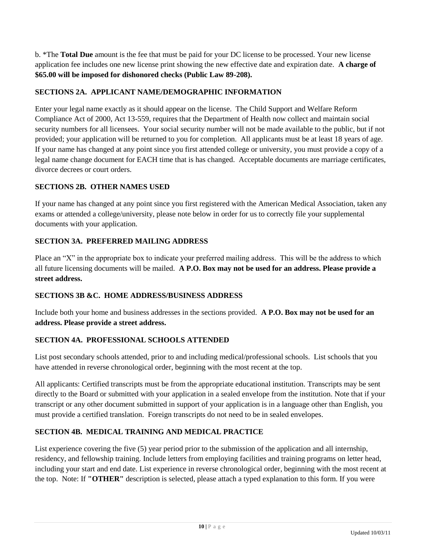b. \*The **Total Due** amount is the fee that must be paid for your DC license to be processed. Your new license application fee includes one new license print showing the new effective date and expiration date. **A charge of \$65.00 will be imposed for dishonored checks (Public Law 89-208).**

## **SECTIONS 2A. APPLICANT NAME/DEMOGRAPHIC INFORMATION**

Enter your legal name exactly as it should appear on the license. The Child Support and Welfare Reform Compliance Act of 2000, Act 13-559, requires that the Department of Health now collect and maintain social security numbers for all licensees. Your social security number will not be made available to the public, but if not provided; your application will be returned to you for completion. All applicants must be at least 18 years of age. If your name has changed at any point since you first attended college or university, you must provide a copy of a legal name change document for EACH time that is has changed. Acceptable documents are marriage certificates, divorce decrees or court orders.

## **SECTIONS 2B. OTHER NAMES USED**

If your name has changed at any point since you first registered with the American Medical Association, taken any exams or attended a college/university, please note below in order for us to correctly file your supplemental documents with your application.

## **SECTION 3A. PREFERRED MAILING ADDRESS**

Place an "X" in the appropriate box to indicate your preferred mailing address. This will be the address to which all future licensing documents will be mailed. **A P.O. Box may not be used for an address. Please provide a street address.**

## **SECTIONS 3B &C. HOME ADDRESS/BUSINESS ADDRESS**

Include both your home and business addresses in the sections provided. **A P.O. Box may not be used for an address. Please provide a street address.** 

## **SECTION 4A. PROFESSIONAL SCHOOLS ATTENDED**

List post secondary schools attended, prior to and including medical/professional schools. List schools that you have attended in reverse chronological order, beginning with the most recent at the top.

All applicants: Certified transcripts must be from the appropriate educational institution. Transcripts may be sent directly to the Board or submitted with your application in a sealed envelope from the institution. Note that if your transcript or any other document submitted in support of your application is in a language other than English, you must provide a certified translation. Foreign transcripts do not need to be in sealed envelopes.

## **SECTION 4B. MEDICAL TRAINING AND MEDICAL PRACTICE**

List experience covering the five (5) year period prior to the submission of the application and all internship, residency, and fellowship training. Include letters from employing facilities and training programs on letter head, including your start and end date. List experience in reverse chronological order, beginning with the most recent at the top. Note: If **"OTHER"** description is selected, please attach a typed explanation to this form. If you were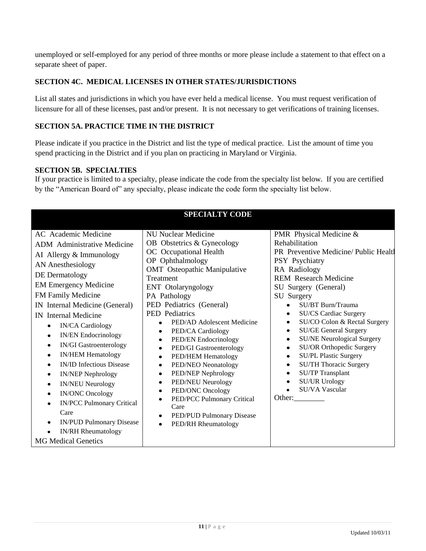unemployed or self-employed for any period of three months or more please include a statement to that effect on a separate sheet of paper.

## **SECTION 4C. MEDICAL LICENSES IN OTHER STATES/JURISDICTIONS**

List all states and jurisdictions in which you have ever held a medical license. You must request verification of licensure for all of these licenses, past and/or present. It is not necessary to get verifications of training licenses.

## **SECTION 5A. PRACTICE TIME IN THE DISTRICT**

Please indicate if you practice in the District and list the type of medical practice. List the amount of time you spend practicing in the District and if you plan on practicing in Maryland or Virginia.

#### **SECTION 5B. SPECIALTIES**

If your practice is limited to a specialty, please indicate the code from the specialty list below. If you are certified by the "American Board of" any specialty, please indicate the code form the specialty list below.

| <b>SPECIALTY CODE</b>                                                                                                                                                                                                                                                                                                                                                                                                                                                                                                                                                                                                                                                                                                                                              |                                                                                                                                                                                                                                                                                                                                                                                                                                                                                                                                                                                                                                                                                                           |                                                                                                                                                                                                                                                                                                                                                                                                                                                                                                                                                                                                                                                                               |  |  |  |  |  |  |  |
|--------------------------------------------------------------------------------------------------------------------------------------------------------------------------------------------------------------------------------------------------------------------------------------------------------------------------------------------------------------------------------------------------------------------------------------------------------------------------------------------------------------------------------------------------------------------------------------------------------------------------------------------------------------------------------------------------------------------------------------------------------------------|-----------------------------------------------------------------------------------------------------------------------------------------------------------------------------------------------------------------------------------------------------------------------------------------------------------------------------------------------------------------------------------------------------------------------------------------------------------------------------------------------------------------------------------------------------------------------------------------------------------------------------------------------------------------------------------------------------------|-------------------------------------------------------------------------------------------------------------------------------------------------------------------------------------------------------------------------------------------------------------------------------------------------------------------------------------------------------------------------------------------------------------------------------------------------------------------------------------------------------------------------------------------------------------------------------------------------------------------------------------------------------------------------------|--|--|--|--|--|--|--|
| AC Academic Medicine<br>ADM Administrative Medicine<br>AI Allergy & Immunology<br><b>AN</b> Anesthesiology<br>DE Dermatology<br><b>EM Emergency Medicine</b><br>FM Family Medicine<br>IN Internal Medicine (General)<br>IN Internal Medicine<br><b>IN/CA Cardiology</b><br>$\bullet$<br><b>IN/EN Endocrinology</b><br>$\bullet$<br><b>IN/GI Gastroenterology</b><br>$\bullet$<br><b>IN/HEM Hematology</b><br>$\bullet$<br><b>IN/ID Infectious Disease</b><br>$\bullet$<br><b>IN/NEP Nephrology</b><br>$\bullet$<br><b>IN/NEU Neurology</b><br>$\bullet$<br><b>IN/ONC Oncology</b><br>$\bullet$<br><b>IN/PCC Pulmonary Critical</b><br>$\bullet$<br>Care<br><b>IN/PUD Pulmonary Disease</b><br>$\bullet$<br><b>IN/RH</b> Rheumatology<br><b>MG Medical Genetics</b> | <b>NU Nuclear Medicine</b><br>OB Obstetrics & Gynecology<br>OC Occupational Health<br>OP Ophthalmology<br><b>OMT</b> Osteopathic Manipulative<br>Treatment<br>ENT Otolaryngology<br>PA Pathology<br>PED Pediatrics (General)<br>PED Pediatrics<br>PED/AD Adolescent Medicine<br>PED/CA Cardiology<br>$\bullet$<br>PED/EN Endocrinology<br>$\bullet$<br>PED/GI Gastroenterology<br>$\bullet$<br>PED/HEM Hematology<br>$\bullet$<br>PED/NEO Neonatology<br>$\bullet$<br>PED/NEP Nephrology<br>$\bullet$<br>PED/NEU Neurology<br>$\bullet$<br>PED/ONC Oncology<br>$\bullet$<br>PED/PCC Pulmonary Critical<br>$\bullet$<br>Care<br>PED/PUD Pulmonary Disease<br>$\bullet$<br>PED/RH Rheumatology<br>$\bullet$ | PMR Physical Medicine &<br>Rehabilitation<br>PR Preventive Medicine/Public Health<br>PSY Psychiatry<br>RA Radiology<br><b>REM</b> Research Medicine<br>SU Surgery (General)<br>SU Surgery<br>SU/BT Burn/Trauma<br>$\bullet$<br><b>SU/CS Cardiac Surgery</b><br>٠<br>SU/CO Colon & Rectal Surgery<br>$\bullet$<br><b>SU/GE General Surgery</b><br>$\bullet$<br><b>SU/NE Neurological Surgery</b><br>$\bullet$<br><b>SU/OR Orthopedic Surgery</b><br>$\bullet$<br><b>SU/PL Plastic Surgery</b><br>$\bullet$<br><b>SU/TH Thoracic Surgery</b><br>$\bullet$<br><b>SU/TP Transplant</b><br>$\bullet$<br><b>SU/UR Urology</b><br>$\bullet$<br>SU/VA Vascular<br>$\bullet$<br>Other: |  |  |  |  |  |  |  |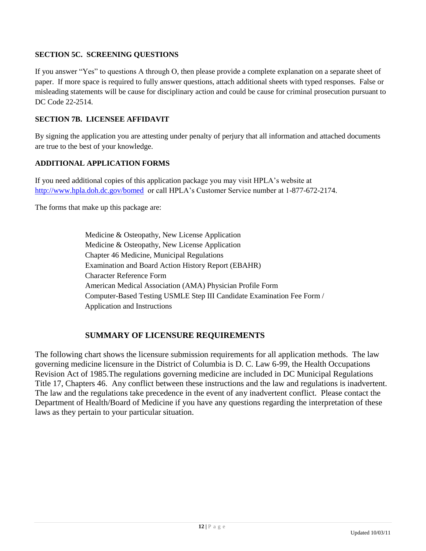### **SECTION 5C. SCREENING QUESTIONS**

If you answer "Yes" to questions A through O, then please provide a complete explanation on a separate sheet of paper. If more space is required to fully answer questions, attach additional sheets with typed responses. False or misleading statements will be cause for disciplinary action and could be cause for criminal prosecution pursuant to DC Code 22-2514.

#### **SECTION 7B. LICENSEE AFFIDAVIT**

By signing the application you are attesting under penalty of perjury that all information and attached documents are true to the best of your knowledge.

#### **ADDITIONAL APPLICATION FORMS**

If you need additional copies of this application package you may visit HPLA's website at <http://www.hpla.doh.dc.gov/bomed>or call HPLA's Customer Service number at 1-877-672-2174.

The forms that make up this package are:

Medicine & Osteopathy, New License Application Medicine & Osteopathy, New License Application Chapter 46 Medicine, Municipal Regulations Examination and Board Action History Report (EBAHR) Character Reference Form American Medical Association (AMA) Physician Profile Form Computer-Based Testing USMLE Step III Candidate Examination Fee Form / Application and Instructions

## **SUMMARY OF LICENSURE REQUIREMENTS**

The following chart shows the licensure submission requirements for all application methods. The law governing medicine licensure in the District of Columbia is D. C. Law 6-99, the Health Occupations Revision Act of 1985.The regulations governing medicine are included in DC Municipal Regulations Title 17, Chapters 46. Any conflict between these instructions and the law and regulations is inadvertent. The law and the regulations take precedence in the event of any inadvertent conflict. Please contact the Department of Health/Board of Medicine if you have any questions regarding the interpretation of these laws as they pertain to your particular situation.